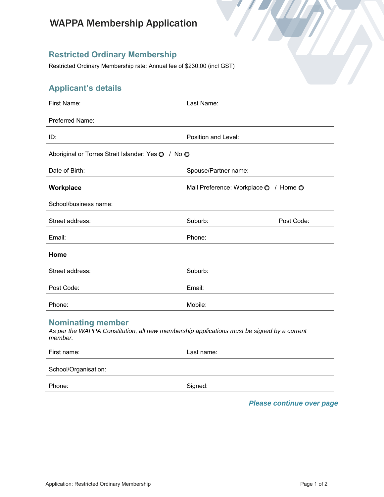# WAPPA Membership Application

### **Restricted Ordinary Membership**

Restricted Ordinary Membership rate: Annual fee of \$230.00 (incl GST)

# **Applicant's details**

| <b>First Name:</b>                                                                                                                | Last Name:                            |            |
|-----------------------------------------------------------------------------------------------------------------------------------|---------------------------------------|------------|
| Preferred Name:                                                                                                                   |                                       |            |
| ID:                                                                                                                               | Position and Level:                   |            |
| Aboriginal or Torres Strait Islander: Yes O / No O                                                                                |                                       |            |
| Date of Birth:                                                                                                                    | Spouse/Partner name:                  |            |
| Workplace                                                                                                                         | Mail Preference: Workplace O / Home O |            |
| School/business name:                                                                                                             |                                       |            |
| Street address:                                                                                                                   | Suburb:                               | Post Code: |
| Email:                                                                                                                            | Phone:                                |            |
| Home                                                                                                                              |                                       |            |
| Street address:                                                                                                                   | Suburb:                               |            |
| Post Code:                                                                                                                        | Email:                                |            |
| Phone:                                                                                                                            | Mobile:                               |            |
| <b>Nominating member</b><br>As per the WAPPA Constitution, all new membership applications must be signed by a current<br>member. |                                       |            |
| First name:                                                                                                                       | Last name:                            |            |
| School/Organisation:                                                                                                              |                                       |            |
| Phone:                                                                                                                            | Signed:                               |            |

*Please continue over page*